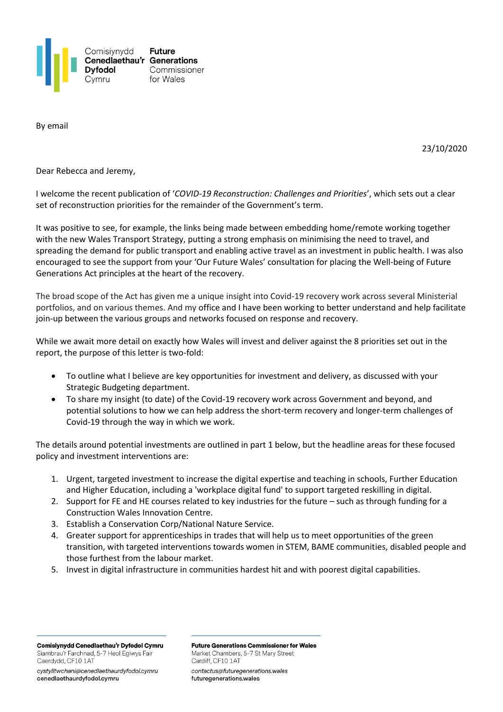

By email

23/10/2020

Dear Rebecca and Jeremy,

I welcome the recent publication of '*COVID-19 Reconstruction: Challenges and Priorities*', which sets out a clear set of reconstruction priorities for the remainder of the Government's term.

It was positive to see, for example, the links being made between embedding home/remote working together with the new Wales Transport Strategy, putting a strong emphasis on minimising the need to travel, and spreading the demand for public transport and enabling active travel as an investment in public health. I was also encouraged to see the support from your 'Our Future Wales' consultation for placing the Well-being of Future Generations Act principles at the heart of the recovery.

The broad scope of the Act has given me a unique insight into Covid-19 recovery work across several Ministerial portfolios, and on various themes. And my office and I have been working to better understand and help facilitate join-up between the various groups and networks focused on response and recovery.

While we await more detail on exactly how Wales will invest and deliver against the 8 priorities set out in the report, the purpose of this letter is two-fold:

- To outline what I believe are key opportunities for investment and delivery, as discussed with your Strategic Budgeting department.
- To share my insight (to date) of the Covid-19 recovery work across Government and beyond, and potential solutions to how we can help address the short-term recovery and longer-term challenges of Covid-19 through the way in which we work.

The details around potential investments are outlined in part 1 below, but the headline areas for these focused policy and investment interventions are:

- 1. Urgent, targeted investment to increase the digital expertise and teaching in schools, Further Education and Higher Education, including a 'workplace digital fund' to support targeted reskilling in digital.
- 2. Support for FE and HE courses related to key industries for the future such as through funding for a Construction Wales Innovation Centre.
- 3. Establish a Conservation Corp/National Nature Service.
- 4. Greater support for apprenticeships in trades that will help us to meet opportunities of the green transition, with targeted interventions towards women in STEM, BAME communities, disabled people and those furthest from the labour market.
- 5. Invest in digital infrastructure in communities hardest hit and with poorest digital capabilities.

Comisiynydd Cenedlaethau'r Dyfodol Cymru Siambrau'r Farchnad, 5-7 Heol Eglwys Fair Caerdydd, CF10 1AT

cystylltwchani@cenedlaethaurdyfodol.cymru cenedlaethaurdyfodol.cymru

**Future Generations Commissioner for Wales** Market Chambers, 5-7 St Mary Street Cardiff, CF10 1AT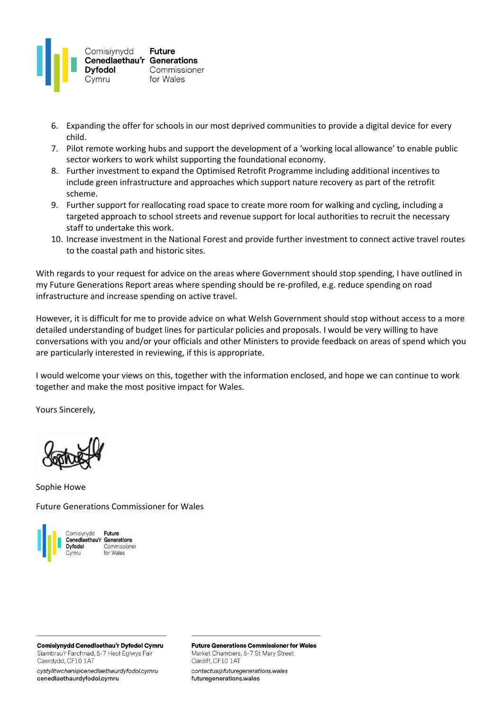

- 6. Expanding the offer for schools in our most deprived communities to provide a digital device for every child.
- 7. Pilot remote working hubs and support the development of a 'working local allowance' to enable public sector workers to work whilst supporting the foundational economy.
- 8. Further investment to expand the Optimised Retrofit Programme including additional incentives to include green infrastructure and approaches which support nature recovery as part of the retrofit scheme.
- 9. Further support for reallocating road space to create more room for walking and cycling, including a targeted approach to school streets and revenue support for local authorities to recruit the necessary staff to undertake this work.
- 10. Increase investment in the National Forest and provide further investment to connect active travel routes to the coastal path and historic sites.

With regards to your request for advice on the areas where Government should stop spending, I have outlined in my Future Generations Report areas where spending should be re-profiled, e.g. reduce spending on road infrastructure and increase spending on active travel.

However, it is difficult for me to provide advice on what Welsh Government should stop without access to a more detailed understanding of budget lines for particular policies and proposals. I would be very willing to have conversations with you and/or your officials and other Ministers to provide feedback on areas of spend which you are particularly interested in reviewing, if this is appropriate.

I would welcome your views on this, together with the information enclosed, and hope we can continue to work together and make the most positive impact for Wales.

Yours Sincerely,

Sophie Howe

Future Generations Commissioner for Wales



Future Cenedlaethau'r Generations Commissioner

Comisiynydd Cenedlaethau'r Dyfodol Cymru Siambrau'r Farchnad, 5-7 Heol Eglwys Fair Caerdydd, CF10 1AT

cystylltwchani@cenedlaethaurdyfodol.cymru cenedlaethaurdyfodol.cymru

**Future Generations Commissioner for Wales** Market Chambers, 5-7 St Mary Street Cardiff, CF10 1AT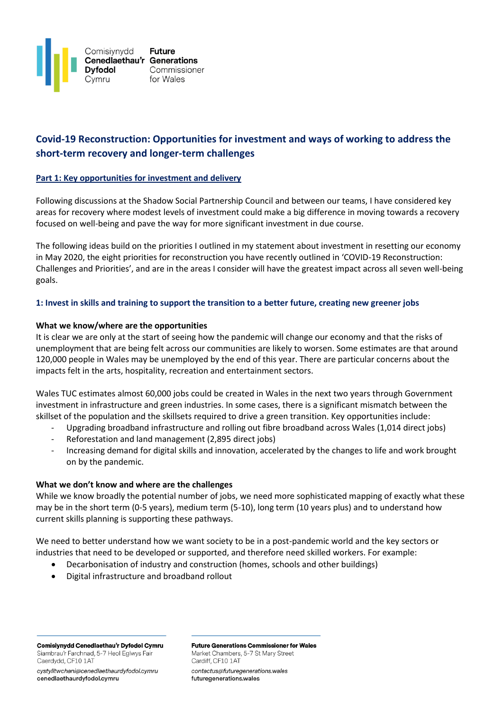

# **Covid-19 Reconstruction: Opportunities for investment and ways of working to address the short-term recovery and longer-term challenges**

### **Part 1: Key opportunities for investment and delivery**

Following discussions at the Shadow Social Partnership Council and between our teams, I have considered key areas for recovery where modest levels of investment could make a big difference in moving towards a recovery focused on well-being and pave the way for more significant investment in due course.

The following ideas build on the priorities I outlined in my statement about investment in resetting our economy in May 2020, the eight priorities for reconstruction you have recently outlined in 'COVID-19 Reconstruction: Challenges and Priorities', and are in the areas I consider will have the greatest impact across all seven well-being goals.

### **1: Invest in skills and training to support the transition to a better future, creating new greener jobs**

### **What we know/where are the opportunities**

It is clear we are only at the start of seeing how the pandemic will change our economy and that the risks of unemployment that are being felt across our communities are likely to worsen. Some estimates are that around 120,000 people in Wales may be unemployed by the end of this year. There are particular concerns about the impacts felt in the arts, hospitality, recreation and entertainment sectors.

Wales TUC estimates almost 60,000 jobs could be created in Wales in the next two years through Government investment in infrastructure and green industries. In some cases, there is a significant mismatch between the skillset of the population and the skillsets required to drive a green transition. Key opportunities include:

- Upgrading broadband infrastructure and rolling out fibre broadband across Wales (1,014 direct jobs)
- Reforestation and land management (2,895 direct jobs)
- Increasing demand for digital skills and innovation, accelerated by the changes to life and work brought on by the pandemic.

### **What we don't know and where are the challenges**

While we know broadly the potential number of jobs, we need more sophisticated mapping of exactly what these may be in the short term (0-5 years), medium term (5-10), long term (10 years plus) and to understand how current skills planning is supporting these pathways.

We need to better understand how we want society to be in a post-pandemic world and the key sectors or industries that need to be developed or supported, and therefore need skilled workers. For example:

- Decarbonisation of industry and construction (homes, schools and other buildings)
- Digital infrastructure and broadband rollout

Comisiynydd Cenedlaethau'r Dyfodol Cymru Siambrau'r Farchnad, 5-7 Heol Eglwys Fair Caerdydd, CF10 1AT

cystylltwchani@cenedlaethaurdyfodol.cymru cenedlaethaurdyfodol.cymru

**Future Generations Commissioner for Wales** Market Chambers, 5-7 St Mary Street Cardiff, CF10 1AT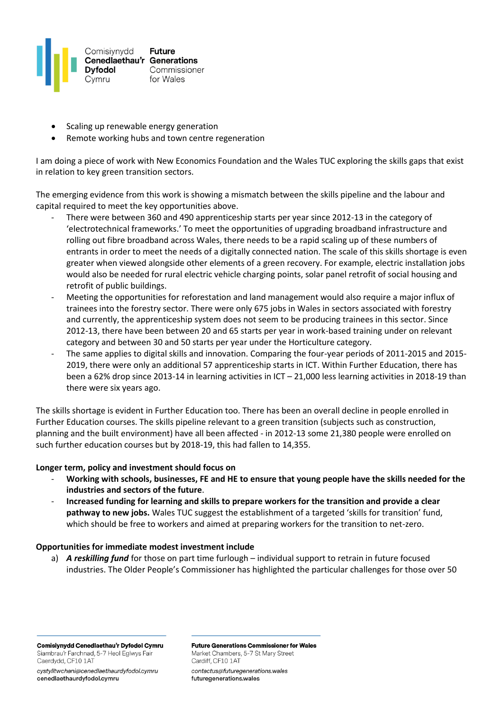

- Scaling up renewable energy generation
- Remote working hubs and town centre regeneration

I am doing a piece of work with New Economics Foundation and the Wales TUC exploring the skills gaps that exist in relation to key green transition sectors.

The emerging evidence from this work is showing a mismatch between the skills pipeline and the labour and capital required to meet the key opportunities above.

- There were between 360 and 490 apprenticeship starts per year since 2012-13 in the category of 'electrotechnical frameworks.' To meet the opportunities of upgrading broadband infrastructure and rolling out fibre broadband across Wales, there needs to be a rapid scaling up of these numbers of entrants in order to meet the needs of a digitally connected nation. The scale of this skills shortage is even greater when viewed alongside other elements of a green recovery. For example, electric installation jobs would also be needed for rural electric vehicle charging points, solar panel retrofit of social housing and retrofit of public buildings.
- Meeting the opportunities for reforestation and land management would also require a major influx of trainees into the forestry sector. There were only 675 jobs in Wales in sectors associated with forestry and currently, the apprenticeship system does not seem to be producing trainees in this sector. Since 2012-13, there have been between 20 and 65 starts per year in work-based training under on relevant category and between 30 and 50 starts per year under the Horticulture category.
- The same applies to digital skills and innovation. Comparing the four-year periods of 2011-2015 and 2015- 2019, there were only an additional 57 apprenticeship starts in ICT. Within Further Education, there has been a 62% drop since 2013-14 in learning activities in ICT – 21,000 less learning activities in 2018-19 than there were six years ago.

The skills shortage is evident in Further Education too. There has been an overall decline in people enrolled in Further Education courses. The skills pipeline relevant to a green transition (subjects such as construction, planning and the built environment) have all been affected - in 2012-13 some 21,380 people were enrolled on such further education courses but by 2018-19, this had fallen to 14,355.

### **Longer term, policy and investment should focus on**

- **Working with schools, businesses, FE and HE to ensure that young people have the skills needed for the industries and sectors of the future**.
- **Increased funding for learning and skills to prepare workers for the transition and provide a clear pathway to new jobs.** Wales TUC suggest the establishment of a targeted 'skills for transition' fund, which should be free to workers and aimed at preparing workers for the transition to net-zero.

### **Opportunities for immediate modest investment include**

a) *A reskilling fund* for those on part time furlough – individual support to retrain in future focused industries. The Older People's Commissioner has highlighted the particular challenges for those over 50

Comisiynydd Cenedlaethau'r Dyfodol Cymru Siambrau'r Farchnad, 5-7 Heol Eglwys Fair Caerdydd, CF10 1AT

cystylltwchani@cenedlaethaurdyfodol.cymru cenedlaethaurdyfodol.cymru

**Future Generations Commissioner for Wales** Market Chambers, 5-7 St Mary Street Cardiff, CF10 1AT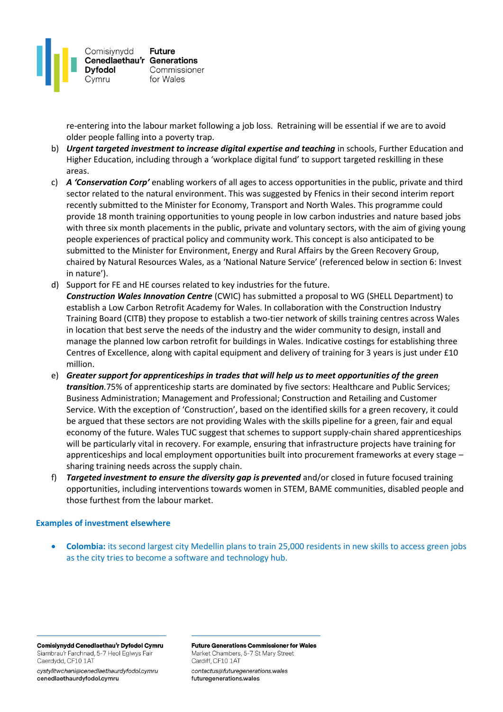

re-entering into the labour market following a job loss. Retraining will be essential if we are to avoid older people falling into a poverty trap.

- b) *Urgent targeted investment to increase digital expertise and teaching* in schools, Further Education and Higher Education, including through a 'workplace digital fund' to support targeted reskilling in these areas.
- c) *A 'Conservation Corp'* enabling workers of all ages to access opportunities in the public, private and third sector related to the natural environment. This was suggested by Ffenics in their second interim report recently submitted to the Minister for Economy, Transport and North Wales. This programme could provide 18 month training opportunities to young people in low carbon industries and nature based jobs with three six month placements in the public, private and voluntary sectors, with the aim of giving young people experiences of practical policy and community work. This concept is also anticipated to be submitted to the Minister for Environment, Energy and Rural Affairs by the Green Recovery Group, chaired by Natural Resources Wales, as a 'National Nature Service' (referenced below in section 6: Invest in nature').
- d) Support for FE and HE courses related to key industries for the future. *Construction Wales Innovation Centre* (CWIC) has submitted a proposal to WG (SHELL Department) to establish a Low Carbon Retrofit Academy for Wales. In collaboration with the Construction Industry Training Board (CITB) they propose to establish a two-tier network of skills training centres across Wales in location that best serve the needs of the industry and the wider community to design, install and manage the planned low carbon retrofit for buildings in Wales. Indicative costings for establishing three Centres of Excellence, along with capital equipment and delivery of training for 3 years is just under £10 million.
- e) *Greater support for apprenticeships in trades that will help us to meet opportunities of the green transition.*75% of apprenticeship starts are dominated by five sectors: Healthcare and Public Services; Business Administration; Management and Professional; Construction and Retailing and Customer Service. With the exception of 'Construction', based on the identified skills for a green recovery, it could be argued that these sectors are not providing Wales with the skills pipeline for a green, fair and equal economy of the future. Wales TUC suggest that schemes to support supply-chain shared apprenticeships will be particularly vital in recovery. For example, ensuring that infrastructure projects have training for apprenticeships and local employment opportunities built into procurement frameworks at every stage – sharing training needs across the supply chain.
- f) *Targeted investment to ensure the diversity gap is prevented* and/or closed in future focused training opportunities, including interventions towards women in STEM, BAME communities, disabled people and those furthest from the labour market.

### **Examples of investment elsewhere**

• **Colombia:** its second largest city Medellin plans to train 25,000 residents in new skills to access green jobs as the city tries to become a software and technology hub.

Comisiynydd Cenedlaethau'r Dyfodol Cymru Siambrau'r Farchnad, 5-7 Heol Eglwys Fair Caerdydd, CF10 1AT

cystylltwchani@cenedlaethaurdyfodol.cymru cenedlaethaurdyfodol.cymru

**Future Generations Commissioner for Wales** Market Chambers, 5-7 St Mary Street Cardiff, CF10 1AT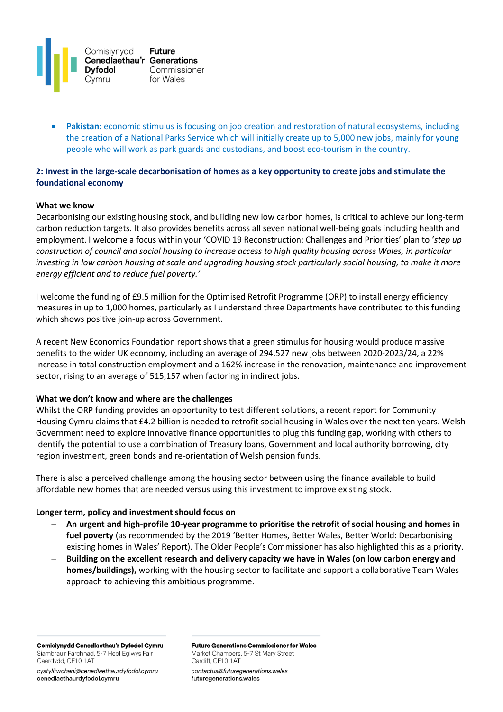

• **Pakistan:** economic stimulus is focusing on job creation and restoration of natural ecosystems, including the creation of a National Parks Service which will initially create up to 5,000 new jobs, mainly for young people who will work as park guards and custodians, and boost eco-tourism in the country.

# **2: Invest in the large-scale decarbonisation of homes as a key opportunity to create jobs and stimulate the foundational economy**

#### **What we know**

Decarbonising our existing housing stock, and building new low carbon homes, is critical to achieve our long-term carbon reduction targets. It also provides benefits across all seven national well-being goals including health and employment. I welcome a focus within your 'COVID 19 Reconstruction: Challenges and Priorities' plan to '*step up construction of council and social housing to increase access to high quality housing across Wales, in particular investing in low carbon housing at scale and upgrading housing stock particularly social housing, to make it more energy efficient and to reduce fuel poverty.'*

I welcome the funding of £9.5 million for the Optimised Retrofit Programme (ORP) to install energy efficiency measures in up to 1,000 homes, particularly as I understand three Departments have contributed to this funding which shows positive join-up across Government.

A recent New Economics Foundation report shows that a green stimulus for housing would produce massive benefits to the wider UK economy, including an average of 294,527 new jobs between 2020-2023/24, a 22% increase in total construction employment and a 162% increase in the renovation, maintenance and improvement sector, rising to an average of 515,157 when factoring in indirect jobs.

### **What we don't know and where are the challenges**

Whilst the ORP funding provides an opportunity to test different solutions, a recent report for Community Housing Cymru claims that £4.2 billion is needed to retrofit social housing in Wales over the next ten years. Welsh Government need to explore innovative finance opportunities to plug this funding gap, working with others to identify the potential to use a combination of Treasury loans, Government and local authority borrowing, city region investment, green bonds and re-orientation of Welsh pension funds.

There is also a perceived challenge among the housing sector between using the finance available to build affordable new homes that are needed versus using this investment to improve existing stock.

#### **Longer term, policy and investment should focus on**

- − **An urgent and high-profile 10-year programme to prioritise the retrofit of social housing and homes in fuel poverty** (as recommended by the 2019 'Better Homes, Better Wales, Better World: Decarbonising existing homes in Wales' Report). The Older People's Commissioner has also highlighted this as a priority.
- − **Building on the excellent research and delivery capacity we have in Wales (on low carbon energy and homes/buildings),** working with the housing sector to facilitate and support a collaborative Team Wales approach to achieving this ambitious programme.

Comisiynydd Cenedlaethau'r Dyfodol Cymru Siambrau'r Farchnad, 5-7 Heol Eglwys Fair Caerdydd, CF10 1AT

cystylltwchani@cenedlaethaurdyfodol.cymru cenedlaethaurdyfodol.cymru

**Future Generations Commissioner for Wales** Market Chambers, 5-7 St Mary Street Cardiff, CF10 1AT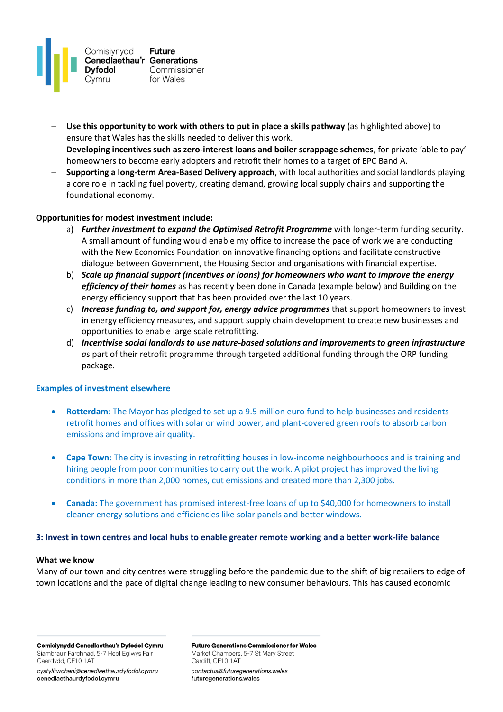

- − **Use this opportunity to work with others to put in place a skills pathway** (as highlighted above) to ensure that Wales has the skills needed to deliver this work.
- − **Developing incentives such as zero-interest loans and boiler scrappage schemes**, for private 'able to pay' homeowners to become early adopters and retrofit their homes to a target of EPC Band A.
- − **Supporting a long-term Area-Based Delivery approach**, with local authorities and social landlords playing a core role in tackling fuel poverty, creating demand, growing local supply chains and supporting the foundational economy.

### **Opportunities for modest investment include:**

- a) *Further investment to expand the Optimised Retrofit Programme* with longer-term funding security. A small amount of funding would enable my office to increase the pace of work we are conducting with the New Economics Foundation on innovative financing options and facilitate constructive dialogue between Government, the Housing Sector and organisations with financial expertise.
- b) *Scale up financial support (incentives or loans) for homeowners who want to improve the energy efficiency of their homes* as has recently been done in Canada (example below) and Building on the energy efficiency support that has been provided over the last 10 years.
- c) *Increase funding to, and support for, energy advice programmes* that support homeowners to invest in energy efficiency measures, and support supply chain development to create new businesses and opportunities to enable large scale retrofitting.
- d) *Incentivise social landlords to use nature-based solutions and improvements to green infrastructure a*s part of their retrofit programme through targeted additional funding through the ORP funding package.

#### **Examples of investment elsewhere**

- **Rotterdam**: The Mayor has pledged to set up a 9.5 million euro fund to help businesses and residents retrofit homes and offices with solar or wind power, and plant-covered green roofs to absorb carbon emissions and improve air quality.
- **Cape Town**: The city is investing in retrofitting houses in low-income neighbourhoods and is training and hiring people from poor communities to carry out the work. A pilot project has improved the living conditions in more than 2,000 homes, cut emissions and created more than 2,300 jobs.
- **Canada:** The government has promised interest-free loans of up to \$40,000 for homeowners to install cleaner energy solutions and efficiencies like solar panels and better windows.

#### **3: Invest in town centres and local hubs to enable greater remote working and a better work-life balance**

#### **What we know**

Many of our town and city centres were struggling before the pandemic due to the shift of big retailers to edge of town locations and the pace of digital change leading to new consumer behaviours. This has caused economic

Comisiynydd Cenedlaethau'r Dyfodol Cymru Siambrau'r Farchnad, 5-7 Heol Eglwys Fair Caerdydd, CF10 1AT

cystylltwchani@cenedlaethaurdyfodol.cymru cenedlaethaurdyfodol.cymru

**Future Generations Commissioner for Wales** Market Chambers, 5-7 St Mary Street Cardiff, CF10 1AT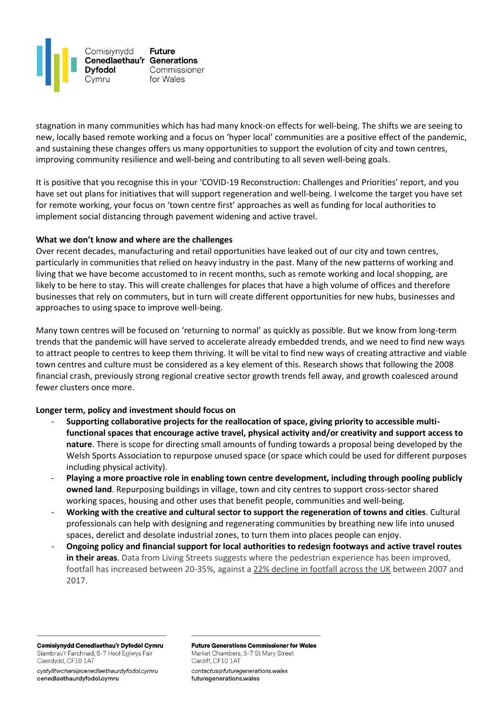

stagnation in many communities which has had many knock-on effects for well-being. The shifts we are seeing to new, locally based remote working and a focus on 'hyper local' communities are a positive effect of the pandemic, and sustaining these changes offers us many opportunities to support the evolution of city and town centres, improving community resilience and well-being and contributing to all seven well-being goals.

It is positive that you recognise this in your 'COVID-19 Reconstruction: Challenges and Priorities' report, and you have set out plans for initiatives that will support regeneration and well-being. I welcome the target you have set for remote working, your focus on 'town centre first' approaches as well as funding for local authorities to implement social distancing through pavement widening and active travel.

### **What we don't know and where are the challenges**

Over recent decades, manufacturing and retail opportunities have leaked out of our city and town centres, particularly in communities that relied on heavy industry in the past. Many of the new patterns of working and living that we have become accustomed to in recent months, such as remote working and local shopping, are likely to be here to stay. This will create challenges for places that have a high volume of offices and therefore businesses that rely on commuters, but in turn will create different opportunities for new hubs, businesses and approaches to using space to improve well-being.

Many town centres will be focused on 'returning to normal' as quickly as possible. But we know from long-term trends that the pandemic will have served to accelerate already embedded trends, and we need to find new ways to attract people to centres to keep them thriving. It will be vital to find new ways of creating attractive and viable town centres and culture must be considered as a key element of this. Research shows that following the 2008 financial crash, previously strong regional creative sector growth trends fell away, and growth coalesced around fewer clusters once more.

### **Longer term, policy and investment should focus on**

- **Supporting collaborative projects for the reallocation of space, giving priority to accessible multifunctional spaces that encourage active travel, physical activity and/or creativity and support access to nature**. There is scope for directing small amounts of funding towards a proposal being developed by the Welsh Sports Association to repurpose unused space (or space which could be used for different purposes including physical activity).
- **Playing a more proactive role in enabling town centre development, including through pooling publicly owned land**. Repurposing buildings in village, town and city centres to support cross-sector shared working spaces, housing and other uses that benefit people, communities and well-being.
- **Working with the creative and cultural sector to support the regeneration of towns and cities**. Cultural professionals can help with designing and regenerating communities by breathing new life into unused spaces, derelict and desolate industrial zones, to turn them into places people can enjoy.
- **Ongoing policy and financial support for local authorities to redesign footways and active travel routes in their areas**. Data from Living Streets suggests where the pedestrian experience has been improved, footfall has increased between 20-35%, against a [22% decline in footfall across the UK](https://www.livingstreets.org.uk/media/3890/pedestrian-pound-2018.pdf) between 2007 and 2017.

Comisiynydd Cenedlaethau'r Dyfodol Cymru Siambrau'r Farchnad, 5-7 Heol Eglwys Fair Caerdydd, CF10 1AT

cystylltwchani@cenedlaethaurdyfodol.cymru cenedlaethaurdyfodol.cymru

**Future Generations Commissioner for Wales** Market Chambers, 5-7 St Mary Street Cardiff, CF10 1AT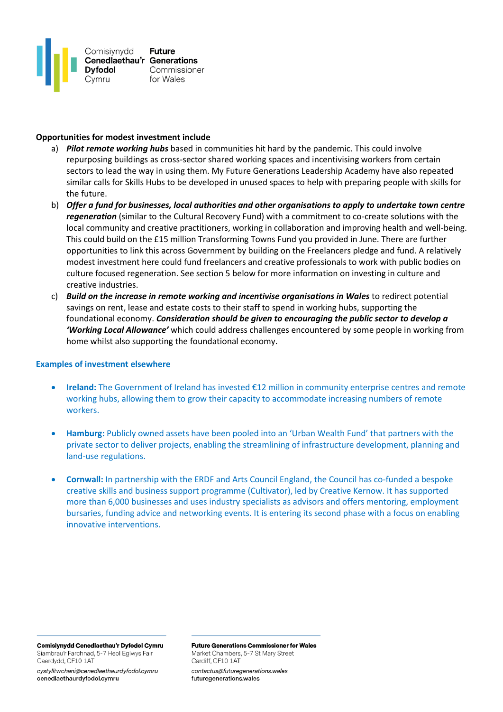

### **Opportunities for modest investment include**

- a) *Pilot remote working hubs* based in communities hit hard by the pandemic. This could involve repurposing buildings as cross-sector shared working spaces and incentivising workers from certain sectors to lead the way in using them. My Future Generations Leadership Academy have also repeated similar calls for Skills Hubs to be developed in unused spaces to help with preparing people with skills for the future.
- b) Offer a fund for businesses, local authorities and other organisations to apply to undertake town centre *regeneration* (similar to the Cultural Recovery Fund) with a commitment to co-create solutions with the local community and creative practitioners, working in collaboration and improving health and well-being. This could build on the £15 million Transforming Towns Fund you provided in June. There are further opportunities to link this across Government by building on the Freelancers pledge and fund. A relatively modest investment here could fund freelancers and creative professionals to work with public bodies on culture focused regeneration. See section 5 below for more information on investing in culture and creative industries.
- c) *Build on the increase in remote working and incentivise organisations in Wales* to redirect potential savings on rent, lease and estate costs to their staff to spend in working hubs, supporting the foundational economy. *Consideration should be given to encouraging the public sector to develop a 'Working Local Allowance'* which could address challenges encountered by some people in working from home whilst also supporting the foundational economy.

#### **Examples of investment elsewhere**

- **Ireland:** The Government of Ireland has invested €12 million in community enterprise centres and remote working hubs, allowing them to grow their capacity to accommodate increasing numbers of remote workers.
- **Hamburg:** Publicly owned assets have been pooled into an 'Urban Wealth Fund' that partners with the private sector to deliver projects, enabling the streamlining of infrastructure development, planning and land-use regulations.
- **Cornwall:** In partnership with the ERDF and Arts Council England, the Council has co-funded a bespoke creative skills and business support programme (Cultivator), led by Creative Kernow. It has supported more than 6,000 businesses and uses industry specialists as advisors and offers mentoring, employment bursaries, funding advice and networking events. It is entering its second phase with a focus on enabling innovative interventions.

Comisiynydd Cenedlaethau'r Dyfodol Cymru Siambrau'r Farchnad, 5-7 Heol Eglwys Fair Caerdydd, CF10 1AT

cystylltwchani@cenedlaethaurdyfodol.cymru cenedlaethaurdyfodol.cymru

**Future Generations Commissioner for Wales** Market Chambers, 5-7 St Mary Street Cardiff, CF10 1AT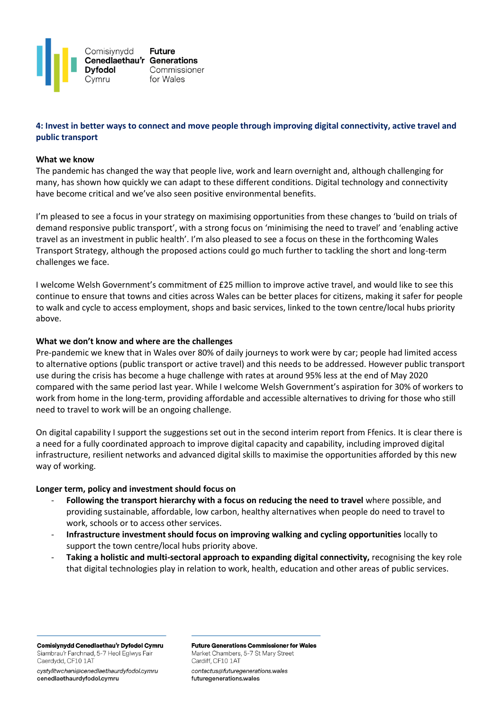

# **4: Invest in better ways to connect and move people through improving digital connectivity, active travel and public transport**

#### **What we know**

The pandemic has changed the way that people live, work and learn overnight and, although challenging for many, has shown how quickly we can adapt to these different conditions. Digital technology and connectivity have become critical and we've also seen positive environmental benefits.

I'm pleased to see a focus in your strategy on maximising opportunities from these changes to 'build on trials of demand responsive public transport', with a strong focus on 'minimising the need to travel' and 'enabling active travel as an investment in public health'. I'm also pleased to see a focus on these in the forthcoming Wales Transport Strategy, although the proposed actions could go much further to tackling the short and long-term challenges we face.

I welcome Welsh Government's commitment of £25 million to improve active travel, and would like to see this continue to ensure that towns and cities across Wales can be better places for citizens, making it safer for people to walk and cycle to access employment, shops and basic services, linked to the town centre/local hubs priority above.

### **What we don't know and where are the challenges**

Pre-pandemic we knew that in Wales over 80% of daily journeys to work were by car; people had limited access to alternative options (public transport or active travel) and this needs to be addressed. However public transport use during the crisis has become a huge challenge with rates at around 95% less at the end of May 2020 compared with the same period last year. While I welcome Welsh Government's aspiration for 30% of workers to work from home in the long-term, providing affordable and accessible alternatives to driving for those who still need to travel to work will be an ongoing challenge.

On digital capability I support the suggestions set out in the second interim report from Ffenics. It is clear there is a need for a fully coordinated approach to improve digital capacity and capability, including improved digital infrastructure, resilient networks and advanced digital skills to maximise the opportunities afforded by this new way of working.

#### **Longer term, policy and investment should focus on**

- **Following the transport hierarchy with a focus on reducing the need to travel** where possible, and providing sustainable, affordable, low carbon, healthy alternatives when people do need to travel to work, schools or to access other services.
- **Infrastructure investment should focus on improving walking and cycling opportunities** locally to support the town centre/local hubs priority above.
- **Taking a holistic and multi-sectoral approach to expanding digital connectivity,** recognising the key role that digital technologies play in relation to work, health, education and other areas of public services.

Comisiynydd Cenedlaethau'r Dyfodol Cymru Siambrau'r Farchnad, 5-7 Heol Eglwys Fair Caerdydd, CF10 1AT

cystylltwchani@cenedlaethaurdyfodol.cymru cenedlaethaurdyfodol.cymru

**Future Generations Commissioner for Wales** Market Chambers, 5-7 St Mary Street Cardiff, CF10 1AT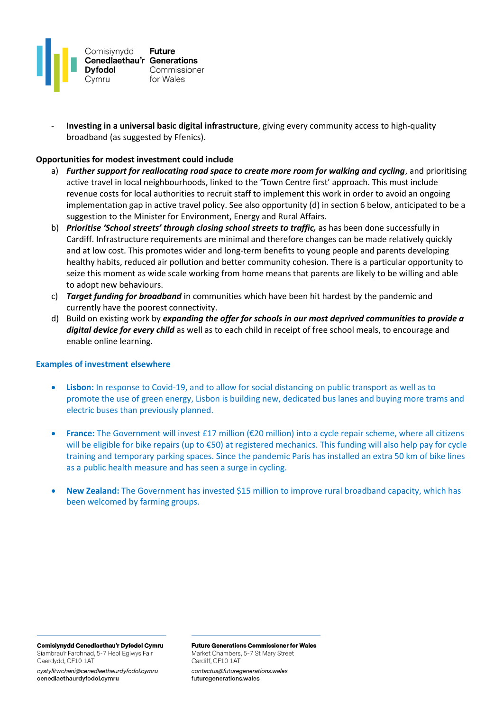

- **Investing in a universal basic digital infrastructure**, giving every community access to high-quality broadband (as suggested by Ffenics).

### **Opportunities for modest investment could include**

- a) *Further support for reallocating road space to create more room for walking and cycling*, and prioritising active travel in local neighbourhoods, linked to the 'Town Centre first' approach. This must include revenue costs for local authorities to recruit staff to implement this work in order to avoid an ongoing implementation gap in active travel policy. See also opportunity (d) in section 6 below, anticipated to be a suggestion to the Minister for Environment, Energy and Rural Affairs.
- b) *Prioritise 'School streets' through closing school streets to traffic,* as has been done successfully in Cardiff. Infrastructure requirements are minimal and therefore changes can be made relatively quickly and at low cost. This promotes wider and long-term benefits to young people and parents developing healthy habits, reduced air pollution and better community cohesion. There is a particular opportunity to seize this moment as wide scale working from home means that parents are likely to be willing and able to adopt new behaviours.
- c) *Target funding for broadband* in communities which have been hit hardest by the pandemic and currently have the poorest connectivity.
- d) Build on existing work by *expanding the offer for schools in our most deprived communities to provide a digital device for every child* as well as to each child in receipt of free school meals, to encourage and enable online learning.

### **Examples of investment elsewhere**

- **Lisbon:** In response to Covid-19, and to allow for social distancing on public transport as well as to promote the use of green energy, Lisbon is building new, dedicated bus lanes and buying more trams and electric buses than previously planned.
- **France:** The Government will invest £17 million (€20 million) into a cycle repair scheme, where all citizens will be eligible for bike repairs (up to €50) at registered mechanics. This funding will also help pay for cycle training and temporary parking spaces. Since the pandemic Paris has installed an extra 50 km of bike lines as a public health measure and has seen a surge in cycling.
- **New Zealand:** The Government has invested \$15 million to improve rural broadband capacity, which has been welcomed by farming groups.

Comisiynydd Cenedlaethau'r Dyfodol Cymru Siambrau'r Farchnad, 5-7 Heol Eglwys Fair Caerdydd, CF10 1AT

cystylltwchani@cenedlaethaurdyfodol.cymru cenedlaethaurdyfodol.cymru

**Future Generations Commissioner for Wales** Market Chambers, 5-7 St Mary Street Cardiff, CF10 1AT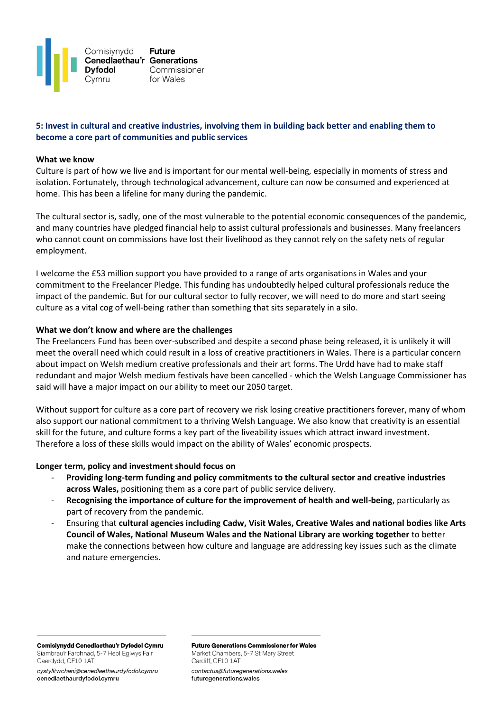

# **5: Invest in cultural and creative industries, involving them in building back better and enabling them to become a core part of communities and public services**

#### **What we know**

Culture is part of how we live and is important for our mental well-being, especially in moments of stress and isolation. Fortunately, through technological advancement, culture can now be consumed and experienced at home. This has been a lifeline for many during the pandemic.

The cultural sector is, sadly, one of the most vulnerable to the potential economic consequences of the pandemic, and many countries have pledged financial help to assist cultural professionals and businesses. Many freelancers who cannot count on commissions have lost their livelihood as they cannot rely on the safety nets of regular employment.

I welcome the £53 million support you have provided to a range of arts organisations in Wales and your commitment to the Freelancer Pledge. This funding has undoubtedly helped cultural professionals reduce the impact of the pandemic. But for our cultural sector to fully recover, we will need to do more and start seeing culture as a vital cog of well-being rather than something that sits separately in a silo.

#### **What we don't know and where are the challenges**

The Freelancers Fund has been over-subscribed and despite a second phase being released, it is unlikely it will meet the overall need which could result in a loss of creative practitioners in Wales. There is a particular concern about impact on Welsh medium creative professionals and their art forms. The Urdd have had to make staff redundant and major Welsh medium festivals have been cancelled - which the Welsh Language Commissioner has said will have a major impact on our ability to meet our 2050 target.

Without support for culture as a core part of recovery we risk losing creative practitioners forever, many of whom also support our national commitment to a thriving Welsh Language. We also know that creativity is an essential skill for the future, and culture forms a key part of the liveability issues which attract inward investment. Therefore a loss of these skills would impact on the ability of Wales' economic prospects.

#### **Longer term, policy and investment should focus on**

- **Providing long-term funding and policy commitments to the cultural sector and creative industries across Wales,** positioning them as a core part of public service delivery.
- **Recognising the importance of culture for the improvement of health and well-being**, particularly as part of recovery from the pandemic.
- Ensuring that **cultural agencies including Cadw, Visit Wales, Creative Wales and national bodies like Arts Council of Wales, National Museum Wales and the National Library are working together** to better make the connections between how culture and language are addressing key issues such as the climate and nature emergencies.

Comisiynydd Cenedlaethau'r Dyfodol Cymru Siambrau'r Farchnad, 5-7 Heol Eglwys Fair Caerdydd, CF10 1AT

cystylltwchani@cenedlaethaurdyfodol.cymru cenedlaethaurdyfodol.cymru

**Future Generations Commissioner for Wales** Market Chambers, 5-7 St Mary Street Cardiff, CF10 1AT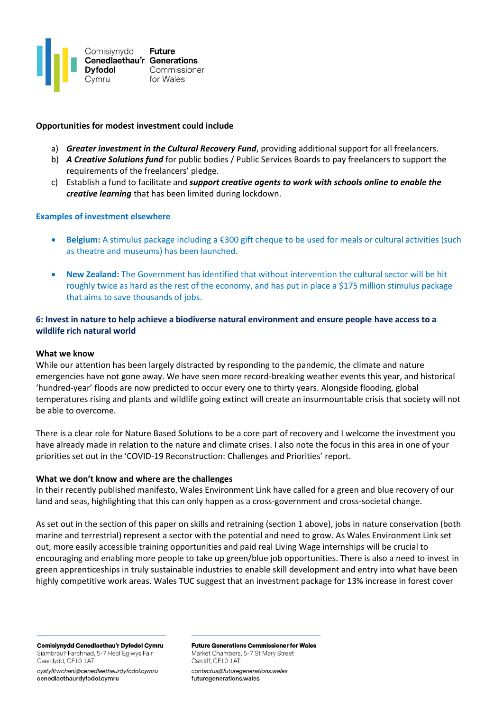

### **Opportunities for modest investment could include**

- a) *Greater investment in the Cultural Recovery Fund*, providing additional support for all freelancers.
- b) *A Creative Solutions fund* for public bodies / Public Services Boards to pay freelancers to support the requirements of the freelancers' pledge.
- c) Establish a fund to facilitate and *support creative agents to work with schools online to enable the creative learning* that has been limited during lockdown.

#### **Examples of investment elsewhere**

- **Belgium:** A stimulus package including a €300 gift cheque to be used for meals or cultural activities (such as theatre and museums) has been launched.
- **New Zealand:** The Government has identified that without intervention the cultural sector will be hit roughly twice as hard as the rest of the economy, and has put in place a \$175 million stimulus package that aims to save thousands of jobs.

## **6: Invest in nature to help achieve a biodiverse natural environment and ensure people have access to a wildlife rich natural world**

#### **What we know**

While our attention has been largely distracted by responding to the pandemic, the climate and nature emergencies have not gone away. We have seen more record-breaking weather events this year, and historical 'hundred-year' floods are now predicted to occur every one to thirty years. Alongside flooding, global temperatures rising and plants and wildlife going extinct will create an insurmountable crisis that society will not be able to overcome.

There is a clear role for Nature Based Solutions to be a core part of recovery and I welcome the investment you have already made in relation to the nature and climate crises. I also note the focus in this area in one of your priorities set out in the 'COVID-19 Reconstruction: Challenges and Priorities' report.

#### **What we don't know and where are the challenges**

In their recently published manifesto, Wales Environment Link have called for a green and blue recovery of our land and seas, highlighting that this can only happen as a cross-government and cross-societal change.

As set out in the section of this paper on skills and retraining (section 1 above), jobs in nature conservation (both marine and terrestrial) represent a sector with the potential and need to grow. As Wales Environment Link set out, more easily accessible training opportunities and paid real Living Wage internships will be crucial to encouraging and enabling more people to take up green/blue job opportunities. There is also a need to invest in green apprenticeships in truly sustainable industries to enable skill development and entry into what have been highly competitive work areas. Wales TUC suggest that an investment package for 13% increase in forest cover

Comisiynydd Cenedlaethau'r Dyfodol Cymru Siambrau'r Farchnad, 5-7 Heol Eglwys Fair Caerdydd, CF10 1AT

cystylltwchani@cenedlaethaurdyfodol.cymru cenedlaethaurdyfodol.cymru

**Future Generations Commissioner for Wales** Market Chambers, 5-7 St Mary Street Cardiff, CF10 1AT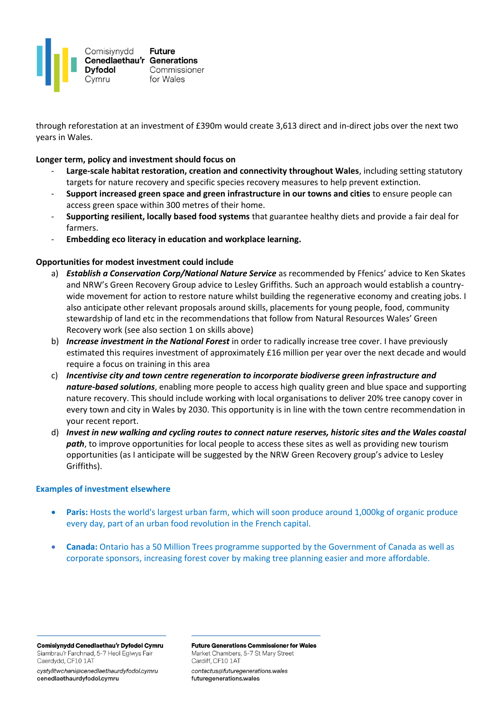

through reforestation at an investment of £390m would create 3,613 direct and in-direct jobs over the next two years in Wales.

### **Longer term, policy and investment should focus on**

- **Large-scale habitat restoration, creation and connectivity throughout Wales**, including setting statutory targets for nature recovery and specific species recovery measures to help prevent extinction.
- **Support increased green space and green infrastructure in our towns and cities** to ensure people can access green space within 300 metres of their home.
- **Supporting resilient, locally based food systems** that guarantee healthy diets and provide a fair deal for farmers.
- **Embedding eco literacy in education and workplace learning.**

### **Opportunities for modest investment could include**

- a) *Establish a Conservation Corp/National Nature Service* as recommended by Ffenics' advice to Ken Skates and NRW's Green Recovery Group advice to Lesley Griffiths. Such an approach would establish a countrywide movement for action to restore nature whilst building the regenerative economy and creating jobs. I also anticipate other relevant proposals around skills, placements for young people, food, community stewardship of land etc in the recommendations that follow from Natural Resources Wales' Green Recovery work (see also section 1 on skills above)
- b) *Increase investment in the National Forest* in order to radically increase tree cover. I have previously estimated this requires investment of approximately £16 million per year over the next decade and would require a focus on training in this area
- c) *Incentivise city and town centre regeneration to incorporate biodiverse green infrastructure and nature-based solutions*, enabling more people to access high quality green and blue space and supporting nature recovery. This should include working with local organisations to deliver 20% tree canopy cover in every town and city in Wales by 2030. This opportunity is in line with the town centre recommendation in your recent report.
- d) *Invest in new walking and cycling routes to connect nature reserves, historic sites and the Wales coastal path*, to improve opportunities for local people to access these sites as well as providing new tourism opportunities (as I anticipate will be suggested by the NRW Green Recovery group's advice to Lesley Griffiths).

#### **Examples of investment elsewhere**

- **Paris:** Hosts the world's largest urban farm, which will soon produce around 1,000kg of organic produce every day, part of an urban food revolution in the French capital.
- **Canada:** Ontario has a 50 Million Trees programme supported by the Government of Canada as well as corporate sponsors, increasing forest cover by making tree planning easier and more affordable.

Comisiynydd Cenedlaethau'r Dyfodol Cymru Siambrau'r Farchnad, 5-7 Heol Eglwys Fair Caerdydd, CF10 1AT

cystylltwchani@cenedlaethaurdyfodol.cymru cenedlaethaurdyfodol.cymru

**Future Generations Commissioner for Wales** Market Chambers, 5-7 St Mary Street Cardiff, CF10 1AT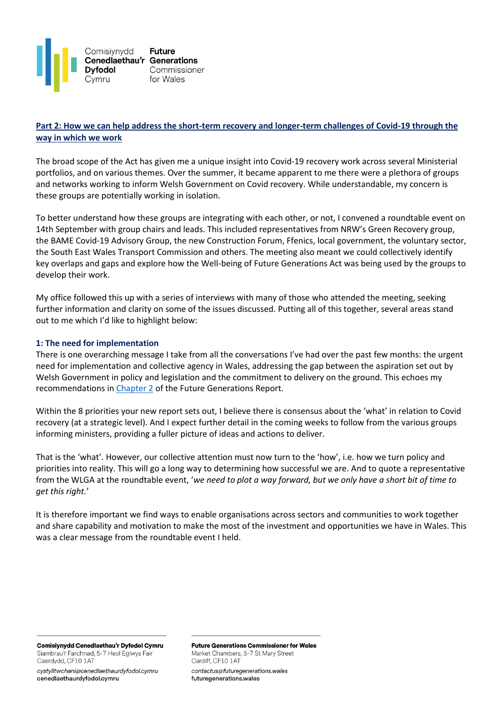

# **Part 2: How we can help address the short-term recovery and longer-term challenges of Covid-19 through the way in which we work**

The broad scope of the Act has given me a unique insight into Covid-19 recovery work across several Ministerial portfolios, and on various themes. Over the summer, it became apparent to me there were a plethora of groups and networks working to inform Welsh Government on Covid recovery. While understandable, my concern is these groups are potentially working in isolation.

To better understand how these groups are integrating with each other, or not, I convened a roundtable event on 14th September with group chairs and leads. This included representatives from NRW's Green Recovery group, the BAME Covid-19 Advisory Group, the new Construction Forum, Ffenics, local government, the voluntary sector, the South East Wales Transport Commission and others. The meeting also meant we could collectively identify key overlaps and gaps and explore how the Well-being of Future Generations Act was being used by the groups to develop their work.

My office followed this up with a series of interviews with many of those who attended the meeting, seeking further information and clarity on some of the issues discussed. Putting all of this together, several areas stand out to me which I'd like to highlight below:

### **1: The need for implementation**

There is one overarching message I take from all the conversations I've had over the past few months: the urgent need for implementation and collective agency in Wales, addressing the gap between the aspiration set out by Welsh Government in policy and legislation and the commitment to delivery on the ground. This echoes my recommendations i[n Chapter 2](https://www.futuregenerations.wales/wp-content/uploads/2020/07/Chapter-2-WG.pdf) of the Future Generations Report.

Within the 8 priorities your new report sets out, I believe there is consensus about the 'what' in relation to Covid recovery (at a strategic level). And I expect further detail in the coming weeks to follow from the various groups informing ministers, providing a fuller picture of ideas and actions to deliver.

That is the 'what'. However, our collective attention must now turn to the 'how', i.e. how we turn policy and priorities into reality. This will go a long way to determining how successful we are. And to quote a representative from the WLGA at the roundtable event, '*we need to plot a way forward, but we only have a short bit of time to get this right.*'

It is therefore important we find ways to enable organisations across sectors and communities to work together and share capability and motivation to make the most of the investment and opportunities we have in Wales. This was a clear message from the roundtable event I held.

Comisiynydd Cenedlaethau'r Dyfodol Cymru Siambrau'r Farchnad, 5-7 Heol Eglwys Fair Caerdydd, CF10 1AT

cystylltwchani@cenedlaethaurdyfodol.cymru cenedlaethaurdyfodol.cymru

**Future Generations Commissioner for Wales** Market Chambers, 5-7 St Mary Street Cardiff, CF10 1AT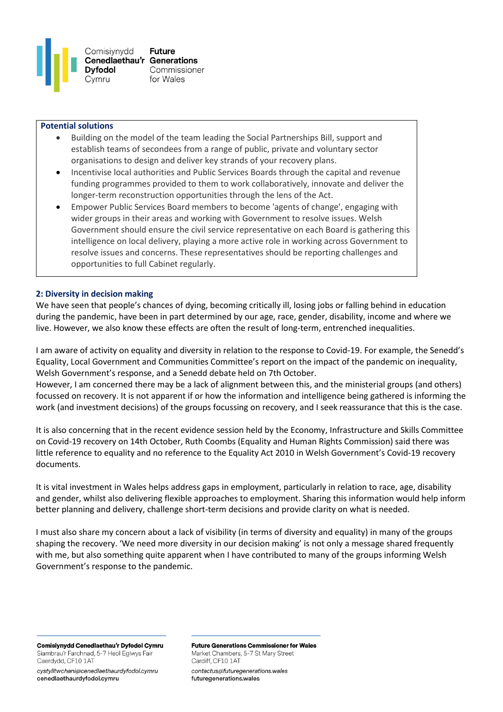

#### **Potential solutions**

- Building on the model of the team leading the Social Partnerships Bill, support and establish teams of secondees from a range of public, private and voluntary sector organisations to design and deliver key strands of your recovery plans.
- Incentivise local authorities and Public Services Boards through the capital and revenue funding programmes provided to them to work collaboratively, innovate and deliver the longer-term reconstruction opportunities through the lens of the Act.
- Empower Public Services Board members to become 'agents of change', engaging with wider groups in their areas and working with Government to resolve issues. Welsh Government should ensure the civil service representative on each Board is gathering this intelligence on local delivery, playing a more active role in working across Government to resolve issues and concerns. These representatives should be reporting challenges and opportunities to full Cabinet regularly.

### **2: Diversity in decision making**

We have seen that people's chances of dying, becoming critically ill, losing jobs or falling behind in education during the pandemic, have been in part determined by our age, race, gender, disability, income and where we live. However, we also know these effects are often the result of long-term, entrenched inequalities.

I am aware of activity on equality and diversity in relation to the response to Covid-19. For example, the Senedd's Equality, Local Government and Communities Committee's [report](https://business.senedd.wales/documents/s103882/Into%20sharp%20relief%20inequality%20and%20the%20pandemic.pdf) on the impact of the pandemic on inequality, Welsh Government's [response,](https://senedd.wales/laid%20documents/gen-ld13506/gen-ld13506-e.pdf) and a Senedd debate held on 7th October.

However, I am concerned there may be a lack of alignment between this, and the ministerial groups (and others) focussed on recovery. It is not apparent if or how the information and intelligence being gathered is informing the work (and investment decisions) of the groups focussing on recovery, and I seek reassurance that this is the case.

It is also concerning that in the recent evidence session held by the Economy, Infrastructure and Skills Committee on Covid-19 recovery on 14th October, Ruth Coombs (Equality and Human Rights Commission) said there was little reference to equality and no reference to the Equality Act 2010 in Welsh Government's Covid-19 recovery documents.

It is vital investment in Wales helps address gaps in employment, particularly in relation to race, age, disability and gender, whilst also delivering flexible approaches to employment. Sharing this information would help inform better planning and delivery, challenge short-term decisions and provide clarity on what is needed.

I must also share my concern about a lack of visibility (in terms of diversity and equality) in many of the groups shaping the recovery. 'We need more diversity in our decision making' is not only a message shared frequently with me, but also something quite apparent when I have contributed to many of the groups informing Welsh Government's response to the pandemic.

Comisiynydd Cenedlaethau'r Dyfodol Cymru Siambrau'r Farchnad, 5-7 Heol Eglwys Fair Caerdydd, CF10 1AT

cystylltwchani@cenedlaethaurdyfodol.cymru cenedlaethaurdyfodol.cymru

**Future Generations Commissioner for Wales** Market Chambers, 5-7 St Mary Street Cardiff, CF10 1AT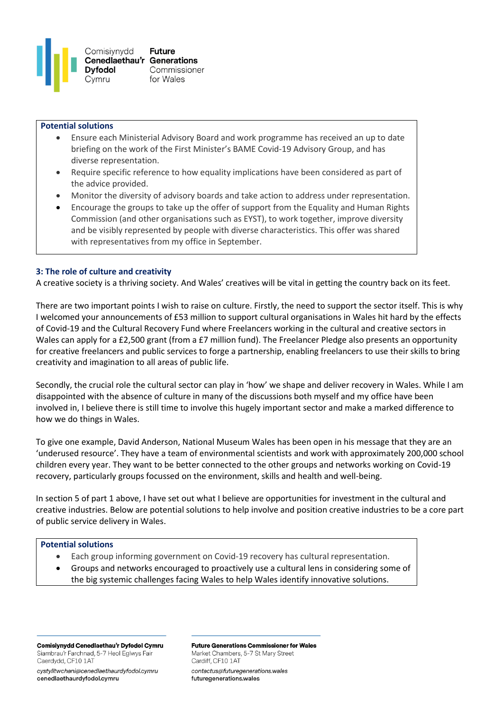

### **Potential solutions**

- Ensure each Ministerial Advisory Board and work programme has received an up to date briefing on the work of the First Minister's BAME Covid-19 Advisory Group, and has diverse representation.
- Require specific reference to how equality implications have been considered as part of the advice provided.
- Monitor the diversity of advisory boards and take action to address under representation.
- Encourage the groups to take up the offer of support from the Equality and Human Rights Commission (and other organisations such as EYST), to work together, improve diversity and be visibly represented by people with diverse characteristics. This offer was shared with representatives from my office in September.

### **3: The role of culture and creativity**

A creative society is a thriving society. And Wales' creatives will be vital in getting the country back on its feet.

There are two important points I wish to raise on culture. Firstly, the need to support the sector itself. This is why I welcomed your announcements of £53 million to support cultural organisations in Wales hit hard by the effects of Covid-19 and the Cultural Recovery Fund where Freelancers working in the cultural and creative sectors in Wales can apply for a £2,500 grant (from a £7 million fund). The Freelancer Pledge also presents an opportunity for creative freelancers and public services to forge a partnership, enabling freelancers to use their skills to bring creativity and imagination to all areas of public life.

Secondly, the crucial role the cultural sector can play in 'how' we shape and deliver recovery in Wales. While I am disappointed with the absence of culture in many of the discussions both myself and my office have been involved in, I believe there is still time to involve this hugely important sector and make a marked difference to how we do things in Wales.

To give one example, David Anderson, National Museum Wales has been open in his message that they are an 'underused resource'. They have a team of environmental scientists and work with approximately 200,000 school children every year. They want to be better connected to the other groups and networks working on Covid-19 recovery, particularly groups focussed on the environment, skills and health and well-being.

In section 5 of part 1 above, I have set out what I believe are opportunities for investment in the cultural and creative industries. Below are potential solutions to help involve and position creative industries to be a core part of public service delivery in Wales.

#### **Potential solutions**

- Each group informing government on Covid-19 recovery has cultural representation.
- Groups and networks encouraged to proactively use a cultural lens in considering some of the big systemic challenges facing Wales to help Wales identify innovative solutions.

Comisiynydd Cenedlaethau'r Dyfodol Cymru Siambrau'r Farchnad, 5-7 Heol Eglwys Fair Caerdydd, CF10 1AT

cystylltwchani@cenedlaethaurdyfodol.cymru cenedlaethaurdyfodol.cymru

**Future Generations Commissioner for Wales** Market Chambers, 5-7 St Mary Street Cardiff, CF10 1AT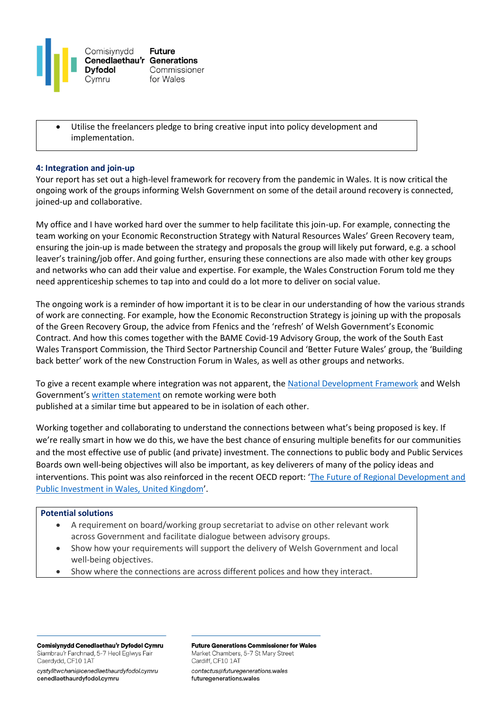

Utilise the freelancers pledge to bring creative input into policy development and implementation.

#### **4: Integration and join-up**

Your report has set out a high-level framework for recovery from the pandemic in Wales. It is now critical the ongoing work of the groups informing Welsh Government on some of the detail around recovery is connected, joined-up and collaborative.

My office and I have worked hard over the summer to help facilitate this join-up. For example, connecting the team working on your Economic Reconstruction Strategy with Natural Resources Wales' Green Recovery team, ensuring the join-up is made between the strategy and proposals the group will likely put forward, e.g. a school leaver's training/job offer. And going further, ensuring these connections are also made with other key groups and networks who can add their value and expertise. For example, the Wales Construction Forum told me they need apprenticeship schemes to tap into and could do a lot more to deliver on social value.

The ongoing work is a reminder of how important it is to be clear in our understanding of how the various strands of work are connecting. For example, how the Economic Reconstruction Strategy is joining up with the proposals of the Green Recovery Group, the advice from Ffenics and the 'refresh' of Welsh Government's Economic Contract. And how this comes together with the BAME Covid-19 Advisory Group, the work of the South East Wales Transport Commission, the Third Sector Partnership Council and 'Better Future Wales' group, the 'Building back better' work of the new Construction Forum in Wales, as well as other groups and networks.

To give a recent example where integration was not apparent, th[e National Development Framework](https://gov.wales/future-wales-national-plan-2040) and Welsh Government's [written statement](https://gov.wales/written-statement-embedding-remote-working) on remote working were both published at a similar time but appeared to be in isolation of each other.

Working together and collaborating to understand the connections between what's being proposed is key. If we're really smart in how we do this, we have the best chance of ensuring multiple benefits for our communities and the most effective use of public (and private) investment. The connections to public body and Public Services Boards own well-being objectives will also be important, as key deliverers of many of the policy ideas and interventions. This point was also reinforced in the recent OECD report: '[The Future of Regional Development and](https://www.oecd.org/investment/the-future-of-regional-development-and-public-investment-in-wales-united-kingdom-e6f5201d-en.htm)  [Public Investment in Wales, United Kingdom](https://www.oecd.org/investment/the-future-of-regional-development-and-public-investment-in-wales-united-kingdom-e6f5201d-en.htm)'.

### **Potential solutions**

- A requirement on board/working group secretariat to advise on other relevant work across Government and facilitate dialogue between advisory groups.
- Show how your requirements will support the delivery of Welsh Government and local well-being objectives.
- Show where the connections are across different polices and how they interact.

Comisiynydd Cenedlaethau'r Dyfodol Cymru Siambrau'r Farchnad, 5-7 Heol Eglwys Fair Caerdydd, CF10 1AT

cystylltwchani@cenedlaethaurdyfodol.cymru cenedlaethaurdyfodol.cymru

**Future Generations Commissioner for Wales** Market Chambers, 5-7 St Mary Street Cardiff, CF10 1AT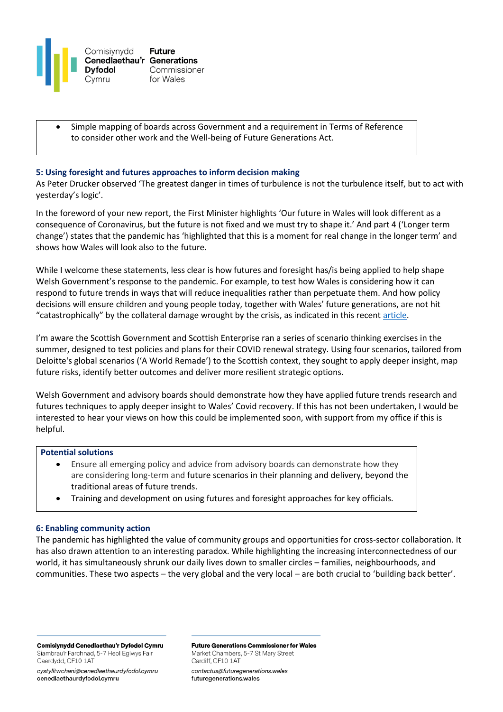

• Simple mapping of boards across Government and a requirement in Terms of Reference to consider other work and the Well-being of Future Generations Act.

### **5: Using foresight and futures approaches to inform decision making**

As Peter Drucker observed 'The greatest danger in times of turbulence is not the turbulence itself, but to act with yesterday's logic'.

In the foreword of your new report, the First Minister highlights 'Our future in Wales will look different as a consequence of Coronavirus, but the future is not fixed and we must try to shape it.' And part 4 ('Longer term change') states that the pandemic has 'highlighted that this is a moment for real change in the longer term' and shows how Wales will look also to the future.

While I welcome these statements, less clear is how futures and foresight has/is being applied to help shape Welsh Government's response to the pandemic. For example, to test how Wales is considering how it can respond to future trends in ways that will reduce inequalities rather than perpetuate them. And how policy decisions will ensure children and young people today, together with Wales' future generations, are not hit "catastrophically" by the collateral damage wrought by the crisis, as indicated in this recent [article.](https://www.theguardian.com/uk-news/2020/oct/20/sage-experts-warn-of-impact-of-covid-policies-on-young-generation-z-harm-pandemic-coronavirus)

I'm aware the Scottish Government and Scottish Enterprise ran a series of scenario thinking exercises in the summer, designed to test policies and plans for their COVID renewal strategy. Using four scenarios, tailored from Deloitte's global scenarios ('A World Remade') to the Scottish context, they sought to apply deeper insight, map future risks, identify better outcomes and deliver more resilient strategic options.

Welsh Government and advisory boards should demonstrate how they have applied future trends research and futures techniques to apply deeper insight to Wales' Covid recovery. If this has not been undertaken, I would be interested to hear your views on how this could be implemented soon, with support from my office if this is helpful.

#### **Potential solutions**

- Ensure all emerging policy and advice from advisory boards can demonstrate how they are considering long-term and future scenarios in their planning and delivery, beyond the traditional areas of future trends.
- Training and development on using futures and foresight approaches for key officials.

#### **6: Enabling community action**

The pandemic has highlighted the value of community groups and opportunities for cross-sector collaboration. It has also drawn attention to an interesting paradox. While highlighting the increasing interconnectedness of our world, it has simultaneously shrunk our daily lives down to smaller circles – families, neighbourhoods, and communities. These two aspects – the very global and the very local – are both crucial to 'building back better'.

Comisiynydd Cenedlaethau'r Dyfodol Cymru Siambrau'r Farchnad, 5-7 Heol Eglwys Fair Caerdydd, CF10 1AT

cystylltwchani@cenedlaethaurdyfodol.cymru cenedlaethaurdyfodol.cymru

**Future Generations Commissioner for Wales** Market Chambers, 5-7 St Mary Street Cardiff, CF10 1AT